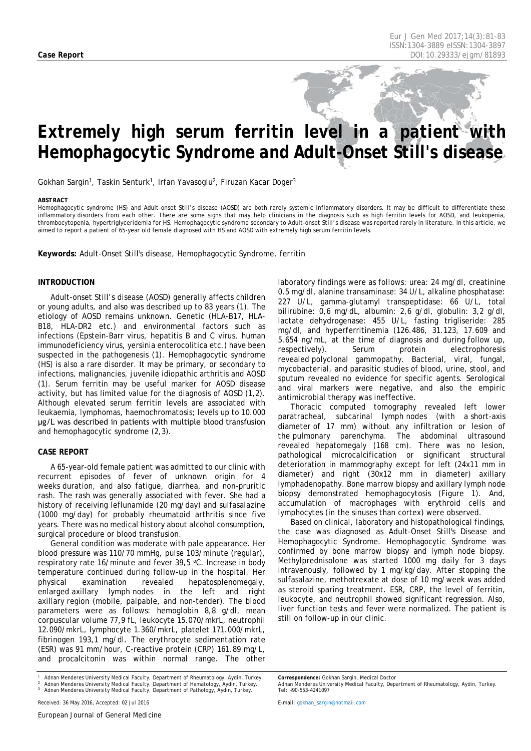# *Extremely high serum ferritin level in a patient with Hemophagocytic Syndrome and Adult-Onset Still's disease*

Gokhan Sargin<sup>1</sup>, Taskin Senturk<sup>1</sup>, Irfan Yavasoglu<sup>2</sup>, Firuzan Kacar Doger<sup>3</sup>

#### <span id="page-0-0"></span>*ABSTRACT*

Hemophagocytic syndrome (HS) and Adult-onset Still's disease (AOSD) are both rarely systemic inflammatory disorders. It may be difficult to differentiate these inflammatory disorders from each other. There are some signs that may help clinicians in the diagnosis such as high ferritin levels for AOSD, and leukopenia, thrombocytopenia, hypertriglyceridemia for HS. Hemophagocytic syndrome secondary to Adult-onset Still's disease was reported rarely in literature. In this article, we aimed to report a patient of 65-year old female diagnosed with HS and AOSD with extremely high serum ferritin levels.

**Keywords:** Adult-Onset Still's disease, Hemophagocytic Syndrome, ferritin

## **INTRODUCTION**

Adult-onset Still's disease (AOSD) generally affects children or young adults, and also was described up to 83 years (1). The etiology of AOSD remains unknown. Genetic (HLA-B17, HLA-B18, HLA-DR2 etc.) and environmental factors such as infections (Epstein-Barr virus, hepatitis B and C virus, human immunodeficiency virus, yersinia enterocolitica etc.) have been suspected in the pathogenesis (1). Hemophagocytic syndrome (HS) is also a rare disorder. It may be primary, or secondary to infections, malignancies, juvenile idiopathic arthritis and AOSD (1). Serum ferritin may be useful marker for AOSD disease activity, but has limited value for the diagnosis of AOSD (1,2). Although elevated serum ferritin levels are associated with leukaemia, lymphomas, haemochromatosis; levels up to 10.000 μg/L was described in patients with multiple blood transfusion and hemophagocytic syndrome (2,3).

### **CASE REPORT**

A 65-year-old female patient was admitted to our clinic with recurrent episodes of fever of unknown origin for 4 weeks duration, and also fatigue, diarrhea, and non-pruritic rash. The rash was generally associated with fever. She had a history of receiving leflunamide (20 mg/day) and sulfasalazine (1000 mg/day) for probably rheumatoid arthritis since five years. There was no medical history about alcohol consumption, surgical procedure or blood transfusion.

General condition was moderate with pale appearance. Her blood pressure was 110/70 mmHg, pulse 103/minute (regular), respiratory rate 16/minute and fever 39,5 °C. Increase in body temperature continued during follow-up in the hospital. Her physical examination revealed hepatosplenomegaly, enlarged axillary lymph nodes in the left and right axillary region (mobile, palpable, and non-tender). The blood parameters were as follows: hemoglobin 8,8 g/dl, mean corpuscular volume 77,9 fL, leukocyte 15.070/mkrL, neutrophil 12.090/mkrL, lymphocyte 1.360/mkrL, platelet 171.000/mkrL, fibrinogen 193,1 mg/dl. The erythrocyte sedimentation rate (ESR) was 91 mm/hour, C-reactive protein (CRP) 161.89 mg/L, and procalcitonin was within normal range. The other

*<sup>1</sup> Adnan Menderes University Medical Faculty, Department of Rheumatology, Aydin, Turkey. <sup>2</sup> Adnan Menderes University Medical Faculty, Department of Hematology, Aydin, Turkey. <sup>3</sup> Adnan Menderes University Medical Faculty, Department of Pathology, Aydin, Turkey.*

laboratory findings were as follows: urea: 24 mg/dl, creatinine 0.5 mg/dl, alanine transaminase: 34 U/L, alkaline phosphatase: 227 U/L, gamma*-*glutamyl transpeptidase: 66 U/L, total bilirubine: 0,6 mg/dL, albumin: 2,6 g/dl, globulin: 3,2 g/dl, lactate dehydrogenase: 455 U/L, fasting trigliseride: 285 mg/dl, and hyperferritinemia (126.486, 31.123, 17.609 and 5.654 ng/mL, at the time of diagnosis and during follow up, respectively). Serum protein electrophoresis revealed polyclonal gammopathy. Bacterial, viral, fungal, mycobacterial, and parasitic studies of blood, urine, stool, and sputum revealed no evidence for specific agents. Serological and viral markers were negative, and also the empiric antimicrobial therapy was ineffective.

Thoracic computed tomography revealed left lower paratracheal, subcarinal lymph nodes (with a short-axis diameter of 17 mm) without any infiltration or lesion of the pulmonary parenchyma. The abdominal ultrasound revealed hepatomegaly (168 cm). There was no lesion, pathological microcalcification or significant structural deterioration in mammography except for left (24x11 mm in diameter) and right (30x12 mm in diameter) axillary lymphadenopathy. Bone marrow biopsy and axillary lymph node biopsy demonstrated hemophagocytosis (Figure 1). And, accumulation of macrophages with erythroid cells and lymphocytes (in the sinuses than cortex) were observed.

Based on clinical, laboratory and histopathological findings, the case was diagnosed as Adult-Onset Still's Disease and Hemophagocytic Syndrome. Hemophagocytic Syndrome was confirmed by bone marrow biopsy and lymph node biopsy. Methylprednisolone was started 1000 mg daily for 3 days intravenously, followed by 1 mg/kg/day. After stopping the sulfasalazine, methotrexate at dose of 10 mg/week was added as steroid sparing treatment. ESR, CRP, the level of ferritin, leukocyte, and neutrophil showed significant regression. Also, liver function tests and fever were normalized. The patient is still on follow-up in our clinic.

*Correspondence: Gokhan Sargin, Medical Doctor*

*Adnan Menderes University Medical Faculty, Department of Rheumatology, Aydin, Turkey. Tel: +90-553-4241097*

*E-mail[: gokhan\\_sargin@hotmail.com](mailto:gokhan_sargin@hotmail.com)*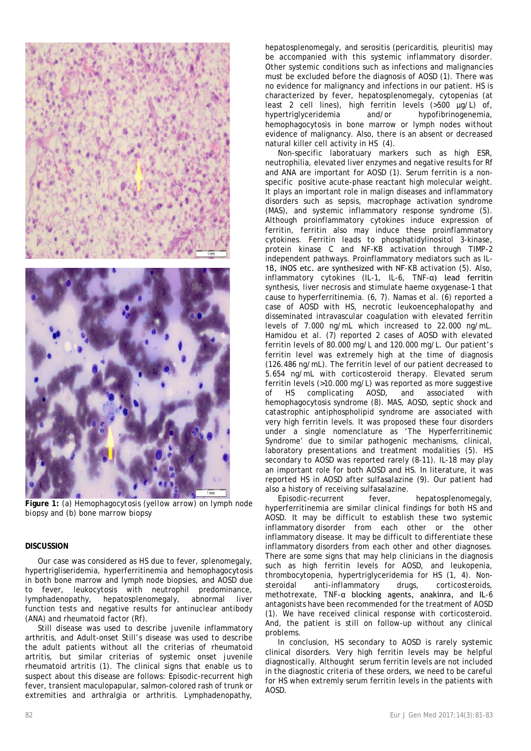

**Figure 1:** *(a) Hemophagocytosis (yellow arrow) on lymph node biopsy and (b) bone marrow biopsy* 

## **DISCUSSION**

Our case was considered as HS due to fever, splenomegaly, hypertrigliseridemia, hyperferritinemia and hemophagocytosis in both bone marrow and lymph node biopsies, and AOSD due to fever, leukocytosis with neutrophil predominance, lymphadenopathy, hepatosplenomegaly, abnormal liver function tests and negative results for antinuclear antibody (ANA) and rheumatoid factor (Rf).

Still disease was used to describe juvenile inflammatory arthritis, and Adult-onset Still's disease was used to describe the adult patients without all the criterias of rheumatoid artritis, but similar criterias of systemic onset juvenile rheumatoid artritis (1). The clinical signs that enable us to suspect about this disease are follows: Episodic-recurrent high fever, transient maculopapular, salmon-colored rash of trunk or extremities and arthralgia or arthritis. Lymphadenopathy,

hepatosplenomegaly, and serositis (pericarditis, pleuritis) may be accompanied with this systemic inflammatory disorder. Other systemic conditions such as infections and malignancies must be excluded before the diagnosis of AOSD (1). There was no evidence for malignancy and infections in our patient. HS is characterized by fever, hepatosplenomegaly, cytopenias (at least 2 cell lines), high ferritin levels (>500 µg/L) of, hypertriglyceridemia and/or hypofibrinogenemia, hemophagocytosis in bone marrow or lymph nodes without evidence of malignancy. Also, there is an absent or decreased natural killer cell activity in HS (4).

Non-specific laboratuary markers such as high ESR, neutrophilia, elevated liver enzymes and negative results for Rf and ANA are important for AOSD (1). Serum ferritin is a nonspecific positive acute-phase reactant high molecular weight. It plays an important role in malign diseases and inflammatory disorders such as sepsis, macrophage activation syndrome (MAS), and systemic inflammatory response syndrome (5). Although proinflammatory cytokines induce expression of ferritin, ferritin also may induce these proinflammatory cytokines. Ferritin leads to phosphatidylinositol 3-kinase, protein kinase C and NF-KB activation through TIMP-2 independent pathways. Proinflammatory mediators such as IL-1β, iNOS etc. are synthesized with NF-KB activation (5). Also, inflammatory cytokines (IL-1, IL-6, TNF-α) lead ferritin synthesis, liver necrosis and stimulate haeme oxygenase-1 that cause to hyperferritinemia. (6, 7). Namas et al. (6) reported a case of AOSD with HS, necrotic leukoencephalopathy and disseminated intravascular coagulation with elevated ferritin levels of 7.000 ng/mL which increased to 22.000 ng/mL. Hamidou et al. (7) reported 2 cases of AOSD with elevated ferritin levels of 80.000 mg/L and 120.000 mg/L. Our patient's ferritin level was extremely high at the time of diagnosis (126.486 ng/mL). The ferritin level of our patient decreased to 5.654 ng/mL with corticosteroid therapy. Elevated serum ferritin levels (>10.000 mg/L) was reported as more suggestive of HS complicating AOSD, and associated with hemophagocytosis syndrome (8). MAS, AOSD, septic shock and catastrophic antiphospholipid syndrome are associated with very high ferritin levels. It was proposed these four disorders under a single nomenclature as 'The Hyperferritinemic Syndrome' due to similar pathogenic mechanisms, clinical, laboratory presentations and treatment modalities (5). HS secondary to AOSD was reported rarely (8-11). IL-18 may play an important role for both AOSD and HS. In literature, it was reported HS in AOSD after sulfasalazine (9). Our patient had also a history of receiving sulfasalazine.

Episodic-recurrent fever, hepatosplenomegaly, hyperferritinemia are similar clinical findings for both HS and AOSD. It may be difficult to establish these two systemic inflammatory disorder from each other or the other inflammatory disease. It may be difficult to differentiate these inflammatory disorders from each other and other diagnoses. There are some signs that may help clinicians in the diagnosis such as high ferritin levels for AOSD, and leukopenia, thrombocytopenia, hypertriglyceridemia for HS (1, 4). Nonsteroidal anti-inflammatory drugs, corticosteroids, methotrexate, TNF-α blocking agents, anakinra, and IL-6 antagonists have been recommended for the treatment of AOSD (1). We have received clinical response with corticosteroid. And, the patient is still on follow-up without any clinical problems.

In conclusion, HS secondary to AOSD is rarely systemic clinical disorders. Very high ferritin levels may be helpful diagnostically. Althought serum ferritin levels are not included in the diagnostic criteria of these orders, we need to be careful for HS when extremly serum ferritin levels in the patients with AOSD.